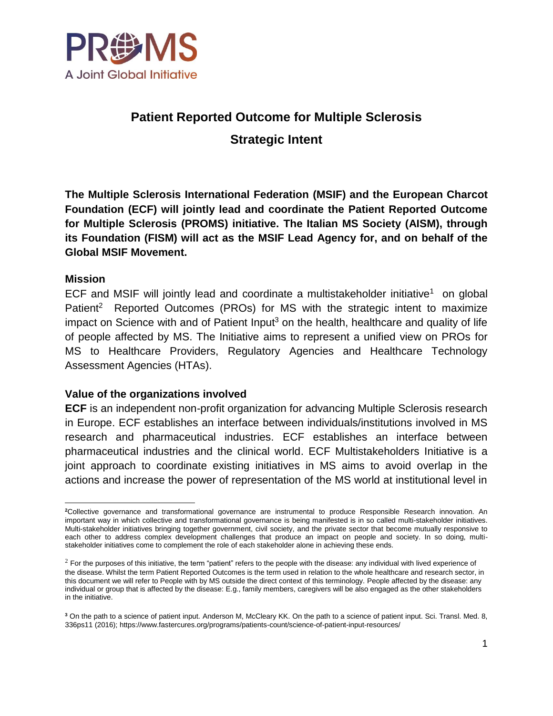

# **Patient Reported Outcome for Multiple Sclerosis**

**Strategic Intent** 

**The Multiple Sclerosis International Federation (MSIF) and the European Charcot Foundation (ECF) will jointly lead and coordinate the Patient Reported Outcome for Multiple Sclerosis (PROMS) initiative. The Italian MS Society (AISM), through its Foundation (FISM) will act as the MSIF Lead Agency for, and on behalf of the Global MSIF Movement.** 

### **Mission**

ECF and MSIF will jointly lead and coordinate a multistakeholder initiative<sup>1</sup> on global Patient<sup>2</sup> Reported Outcomes (PROs) for MS with the strategic intent to maximize impact on Science with and of Patient Input<sup>3</sup> on the health, healthcare and quality of life of people affected by MS. The Initiative aims to represent a unified view on PROs for MS to Healthcare Providers, Regulatory Agencies and Healthcare Technology Assessment Agencies (HTAs).

# **Value of the organizations involved**

**ECF** is an independent non-profit organization for advancing Multiple Sclerosis research in Europe. ECF establishes an interface between individuals/institutions involved in MS research and pharmaceutical industries. ECF establishes an interface between pharmaceutical industries and the clinical world. ECF Multistakeholders Initiative is a joint approach to coordinate existing initiatives in MS aims to avoid overlap in the actions and increase the power of representation of the MS world at institutional level in

 $\overline{a}$ **<sup>2</sup>**Collective governance and transformational governance are instrumental to produce Responsible Research innovation. An important way in which collective and transformational governance is being manifested is in so called multi-stakeholder initiatives. Multi-stakeholder initiatives bringing together government, civil society, and the private sector that become mutually responsive to each other to address complex development challenges that produce an impact on people and society. In so doing, multistakeholder initiatives come to complement the role of each stakeholder alone in achieving these ends.

 $<sup>2</sup>$  For the purposes of this initiative, the term "patient" refers to the people with the disease: any individual with lived experience of</sup> the disease. Whilst the term Patient Reported Outcomes is the term used in relation to the whole healthcare and research sector, in this document we will refer to People with by MS outside the direct context of this terminology. People affected by the disease: any individual or group that is affected by the disease: E.g., family members, caregivers will be also engaged as the other stakeholders in the initiative.

**<sup>3</sup>** On the path to a science of patient input. Anderson M, McCleary KK. On the path to a science of patient input. Sci. Transl. Med. 8, 336ps11 (2016)[; https://www.fastercures.org/programs/patients-count/science-of-patient-input-resources/](https://www.fastercures.org/programs/patients-count/science-of-patient-input-resources/)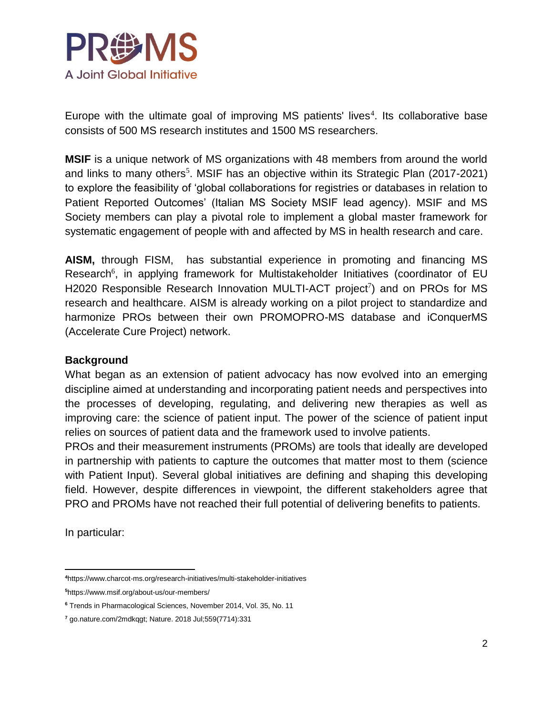

Europe with the ultimate goal of improving MS patients' lives $4$ . Its collaborative base consists of 500 MS research institutes and 1500 MS researchers.

**MSIF** is a unique network of MS organizations with 48 members from around the world and links to many others<sup>5</sup>. MSIF has an objective within its Strategic Plan (2017-2021) to explore the feasibility of 'global collaborations for registries or databases in relation to Patient Reported Outcomes' (Italian MS Society MSIF lead agency). MSIF and MS Society members can play a pivotal role to implement a global master framework for systematic engagement of people with and affected by MS in health research and care.

**AISM,** through FISM,has substantial experience in promoting and financing MS Research<sup>6</sup>, in applying framework for Multistakeholder Initiatives (coordinator of EU H2020 Responsible Research Innovation MULTI-ACT project<sup>7</sup>) and on PROs for MS research and healthcare. AISM is already working on a pilot project to standardize and harmonize PROs between their own PROMOPRO-MS database and iConquerMS (Accelerate Cure Project) network.

#### **Background**

What began as an extension of patient advocacy has now evolved into an emerging discipline aimed at understanding and incorporating patient needs and perspectives into the processes of developing, regulating, and delivering new therapies as well as improving care: the science of patient input. The power of the science of patient input relies on sources of patient data and the framework used to involve patients.

PROs and their measurement instruments (PROMs) are tools that ideally are developed in partnership with patients to capture the outcomes that matter most to them (science with Patient Input). Several global initiatives are defining and shaping this developing field. However, despite differences in viewpoint, the different stakeholders agree that PRO and PROMs have not reached their full potential of delivering benefits to patients.

In particular:

 $\overline{a}$ **<sup>4</sup>**https://www.charcot-ms.org/research-initiatives/multi-stakeholder-initiatives

**<sup>5</sup>**<https://www.msif.org/about-us/our-members/>

**<sup>6</sup>** Trends in Pharmacological Sciences, November 2014, Vol. 35, No. 11

**<sup>7</sup>** go.nature.com/2mdkqgt; Nature. 2018 Jul;559(7714):331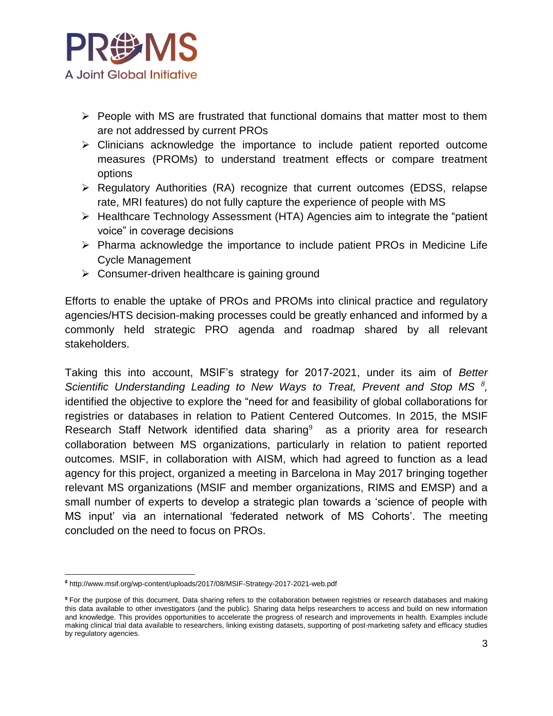

- $\triangleright$  People with MS are frustrated that functional domains that matter most to them are not addressed by current PROs
- $\triangleright$  Clinicians acknowledge the importance to include patient reported outcome measures (PROMs) to understand treatment effects or compare treatment options
- $\triangleright$  Regulatory Authorities (RA) recognize that current outcomes (EDSS, relapse rate, MRI features) do not fully capture the experience of people with MS
- $\triangleright$  Healthcare Technology Assessment (HTA) Agencies aim to integrate the "patient voice" in coverage decisions
- $\triangleright$  Pharma acknowledge the importance to include patient PROs in Medicine Life Cycle Management
- $\triangleright$  Consumer-driven healthcare is gaining ground

Efforts to enable the uptake of PROs and PROMs into clinical practice and regulatory agencies/HTS decision-making processes could be greatly enhanced and informed by a commonly held strategic PRO agenda and roadmap shared by all relevant stakeholders.

Taking this into account, MSIF's strategy for 2017-2021, under its aim of *Better Scientific Understanding Leading to New Ways to Treat, Prevent and Stop MS <sup>8</sup> ,* identified the objective to explore the "need for and feasibility of global collaborations for registries or databases in relation to Patient Centered Outcomes. In 2015, the MSIF Research Staff Network identified data sharing<sup>9</sup> as a priority area for research collaboration between MS organizations, particularly in relation to patient reported outcomes. MSIF, in collaboration with AISM, which had agreed to function as a lead agency for this project, organized a meeting in Barcelona in May 2017 bringing together relevant MS organizations (MSIF and member organizations, RIMS and EMSP) and a small number of experts to develop a strategic plan towards a 'science of people with MS input' via an international 'federated network of MS Cohorts'. The meeting concluded on the need to focus on PROs.

 $\overline{a}$ **<sup>8</sup>** http://www.msif.org/wp-content/uploads/2017/08/MSIF-Strategy-2017-2021-web.pdf

<sup>&</sup>lt;sup>9</sup> For the purpose of this document, Data sharing refers to the collaboration between registries or research databases and making this data available to other investigators (and the public). Sharing data helps researchers to access and build on new information and knowledge. This provides opportunities to accelerate the progress of research and improvements in health. Examples include making clinical trial data available to researchers, linking existing datasets, supporting of post-marketing safety and efficacy studies by regulatory agencies.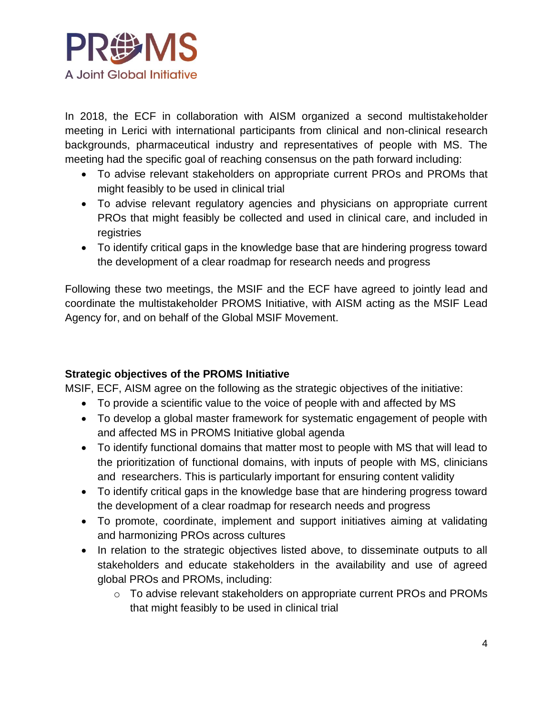

In 2018, the ECF in collaboration with AISM organized a second multistakeholder meeting in Lerici with international participants from clinical and non-clinical research backgrounds, pharmaceutical industry and representatives of people with MS. The meeting had the specific goal of reaching consensus on the path forward including:

- To advise relevant stakeholders on appropriate current PROs and PROMs that might feasibly to be used in clinical trial
- To advise relevant regulatory agencies and physicians on appropriate current PROs that might feasibly be collected and used in clinical care, and included in registries
- To identify critical gaps in the knowledge base that are hindering progress toward the development of a clear roadmap for research needs and progress

Following these two meetings, the MSIF and the ECF have agreed to jointly lead and coordinate the multistakeholder PROMS Initiative, with AISM acting as the MSIF Lead Agency for, and on behalf of the Global MSIF Movement.

# **Strategic objectives of the PROMS Initiative**

MSIF, ECF, AISM agree on the following as the strategic objectives of the initiative:

- To provide a scientific value to the voice of people with and affected by MS
- To develop a global master framework for systematic engagement of people with and affected MS in PROMS Initiative global agenda
- To identify functional domains that matter most to people with MS that will lead to the prioritization of functional domains, with inputs of people with MS, clinicians and researchers. This is particularly important for ensuring content validity
- To identify critical gaps in the knowledge base that are hindering progress toward the development of a clear roadmap for research needs and progress
- To promote, coordinate, implement and support initiatives aiming at validating and harmonizing PROs across cultures
- In relation to the strategic objectives listed above, to disseminate outputs to all stakeholders and educate stakeholders in the availability and use of agreed global PROs and PROMs, including:
	- o To advise relevant stakeholders on appropriate current PROs and PROMs that might feasibly to be used in clinical trial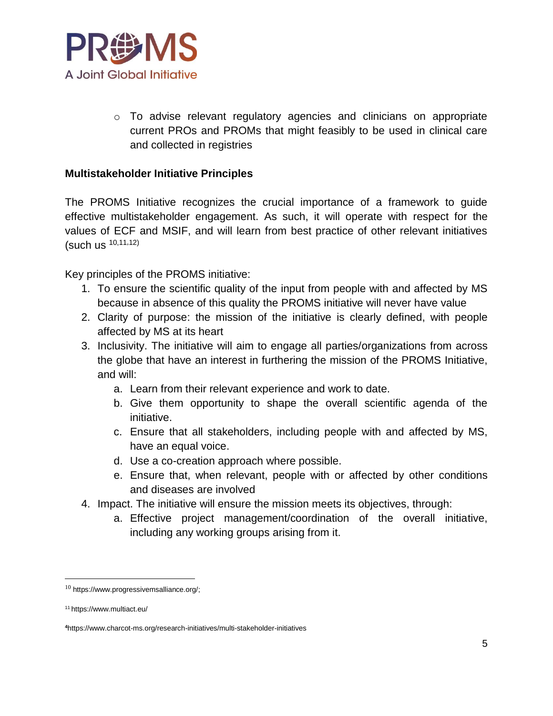

 $\circ$  To advise relevant regulatory agencies and clinicians on appropriate current PROs and PROMs that might feasibly to be used in clinical care and collected in registries

### **Multistakeholder Initiative Principles**

The PROMS Initiative recognizes the crucial importance of a framework to guide effective multistakeholder engagement. As such, it will operate with respect for the values of ECF and MSIF, and will learn from best practice of other relevant initiatives (such us 10,11,12)

Key principles of the PROMS initiative:

- 1. To ensure the scientific quality of the input from people with and affected by MS because in absence of this quality the PROMS initiative will never have value
- 2. Clarity of purpose: the mission of the initiative is clearly defined, with people affected by MS at its heart
- 3. Inclusivity. The initiative will aim to engage all parties/organizations from across the globe that have an interest in furthering the mission of the PROMS Initiative, and will:
	- a. Learn from their relevant experience and work to date.
	- b. Give them opportunity to shape the overall scientific agenda of the initiative.
	- c. Ensure that all stakeholders, including people with and affected by MS, have an equal voice.
	- d. Use a co-creation approach where possible.
	- e. Ensure that, when relevant, people with or affected by other conditions and diseases are involved
- 4. Impact. The initiative will ensure the mission meets its objectives, through:
	- a. Effective project management/coordination of the overall initiative, including any working groups arising from it.

 $\overline{a}$ 

 $10$  [https://www.progressivemsalliance.org/;](https://www.progressivemsalliance.org/)

<sup>11</sup> https://www.multiact.eu/

**<sup>4</sup>**https://www.charcot-ms.org/research-initiatives/multi-stakeholder-initiatives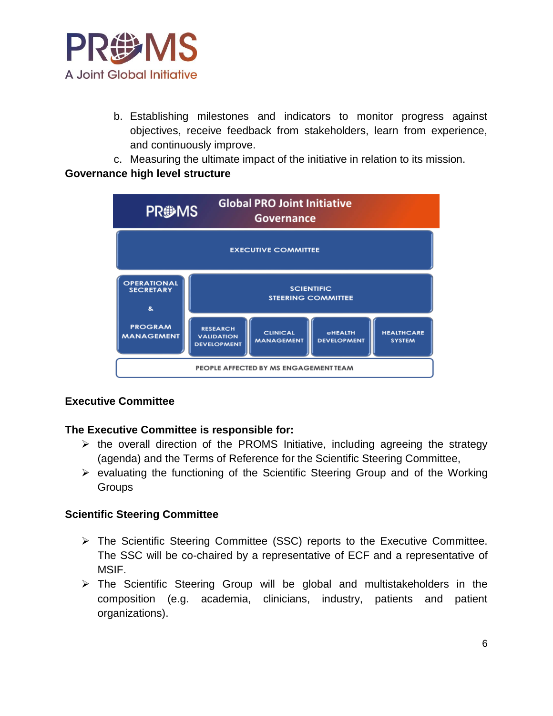

- b. Establishing milestones and indicators to monitor progress against objectives, receive feedback from stakeholders, learn from experience, and continuously improve.
- c. Measuring the ultimate impact of the initiative in relation to its mission.

# **Governance high level structure**



# **Executive Committee**

# **The Executive Committee is responsible for:**

- $\triangleright$  the overall direction of the PROMS Initiative, including agreeing the strategy (agenda) and the Terms of Reference for the Scientific Steering Committee,
- $\triangleright$  evaluating the functioning of the Scientific Steering Group and of the Working **Groups**

#### **Scientific Steering Committee**

- The Scientific Steering Committee (SSC) reports to the Executive Committee. The SSC will be co-chaired by a representative of ECF and a representative of MSIF.
- $\triangleright$  The Scientific Steering Group will be global and multistakeholders in the composition (e.g. academia, clinicians, industry, patients and patient organizations).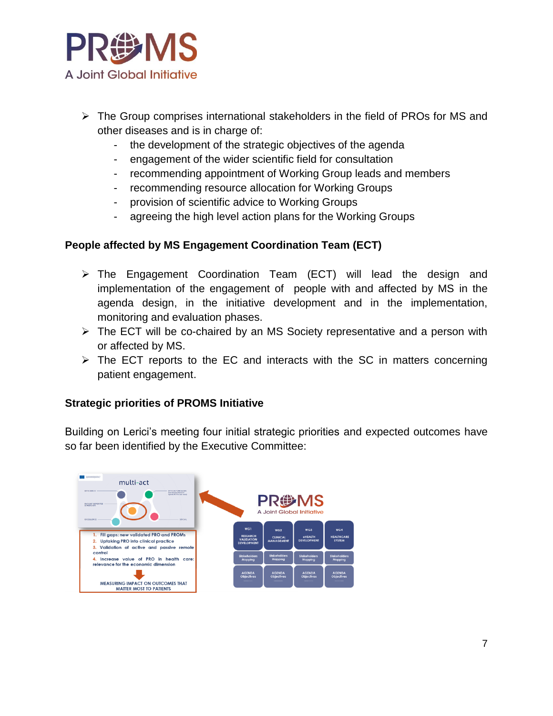

- $\triangleright$  The Group comprises international stakeholders in the field of PROs for MS and other diseases and is in charge of:
	- the development of the strategic objectives of the agenda
	- engagement of the wider scientific field for consultation
	- recommending appointment of Working Group leads and members
	- recommending resource allocation for Working Groups
	- provision of scientific advice to Working Groups
	- agreeing the high level action plans for the Working Groups

# **People affected by MS Engagement Coordination Team (ECT)**

- $\triangleright$  The Engagement Coordination Team (ECT) will lead the design and implementation of the engagement of people with and affected by MS in the agenda design, in the initiative development and in the implementation, monitoring and evaluation phases.
- $\triangleright$  The ECT will be co-chaired by an MS Society representative and a person with or affected by MS.
- $\triangleright$  The ECT reports to the EC and interacts with the SC in matters concerning patient engagement.

# **Strategic priorities of PROMS Initiative**

Building on Lerici's meeting four initial strategic priorities and expected outcomes have so far been identified by the Executive Committee: